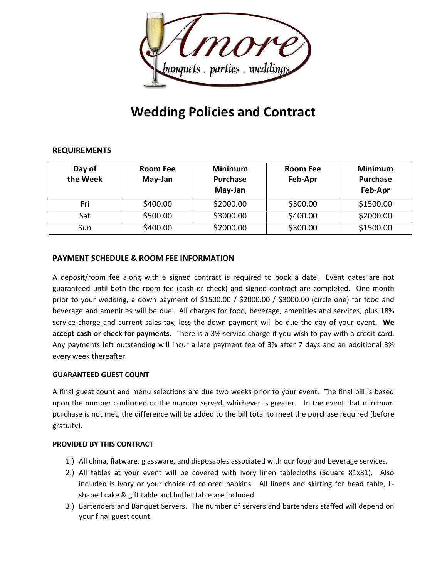

# **Wedding Policies and Contract**

# **REQUIREMENTS**

| Day of<br>the Week | Room Fee<br>May-Jan | <b>Minimum</b><br><b>Purchase</b><br>May-Jan | <b>Room Fee</b><br>Feb-Apr | <b>Minimum</b><br>Purchase<br>Feb-Apr |
|--------------------|---------------------|----------------------------------------------|----------------------------|---------------------------------------|
| Fri                | \$400.00            | \$2000.00                                    | \$300.00                   | \$1500.00                             |
| Sat                | \$500.00            | \$3000.00                                    | \$400.00                   | \$2000.00                             |
| Sun                | \$400.00            | \$2000.00                                    | \$300.00                   | \$1500.00                             |

# **PAYMENT SCHEDULE & ROOM FEE INFORMATION**

A deposit/room fee along with a signed contract is required to book a date. Event dates are not guaranteed until both the room fee (cash or check) and signed contract are completed. One month prior to your wedding, a down payment of \$1500.00 / \$2000.00 / \$3000.00 (circle one) for food and beverage and amenities will be due. All charges for food, beverage, amenities and services, plus 18% service charge and current sales tax, less the down payment will be due the day of your event**. We accept cash or check for payments.** There is a 3% service charge if you wish to pay with a credit card. Any payments left outstanding will incur a late payment fee of 3% after 7 days and an additional 3% every week thereafter.

## **GUARANTEED GUEST COUNT**

A final guest count and menu selections are due two weeks prior to your event. The final bill is based upon the number confirmed or the number served, whichever is greater. In the event that minimum purchase is not met, the difference will be added to the bill total to meet the purchase required (before gratuity).

#### **PROVIDED BY THIS CONTRACT**

- 1.) All china, flatware, glassware, and disposables associated with our food and beverage services.
- 2.) All tables at your event will be covered with ivory linen tablecloths (Square 81x81). Also included is ivory or your choice of colored napkins. All linens and skirting for head table, Lshaped cake & gift table and buffet table are included.
- 3.) Bartenders and Banquet Servers. The number of servers and bartenders staffed will depend on your final guest count.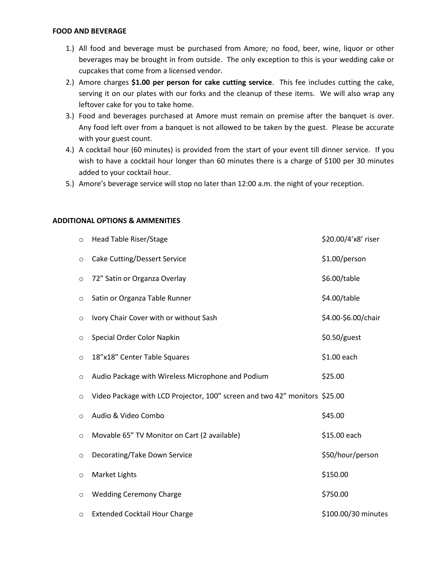#### **FOOD AND BEVERAGE**

- 1.) All food and beverage must be purchased from Amore; no food, beer, wine, liquor or other beverages may be brought in from outside. The only exception to this is your wedding cake or cupcakes that come from a licensed vendor.
- 2.) Amore charges **\$1.00 per person for cake cutting service**. This fee includes cutting the cake, serving it on our plates with our forks and the cleanup of these items. We will also wrap any leftover cake for you to take home.
- 3.) Food and beverages purchased at Amore must remain on premise after the banquet is over. Any food left over from a banquet is not allowed to be taken by the guest. Please be accurate with your guest count.
- 4.) A cocktail hour (60 minutes) is provided from the start of your event till dinner service. If you wish to have a cocktail hour longer than 60 minutes there is a charge of \$100 per 30 minutes added to your cocktail hour.
- 5.) Amore's beverage service will stop no later than 12:00 a.m. the night of your reception.

#### **ADDITIONAL OPTIONS & AMMENITIES**

| $\circ$ | Head Table Riser/Stage                                                     | \$20.00/4'x8' riser |
|---------|----------------------------------------------------------------------------|---------------------|
| O       | <b>Cake Cutting/Dessert Service</b>                                        | \$1.00/person       |
| $\circ$ | 72" Satin or Organza Overlay                                               | \$6.00/table        |
| $\circ$ | Satin or Organza Table Runner                                              | \$4.00/table        |
| $\circ$ | Ivory Chair Cover with or without Sash                                     | \$4.00-\$6.00/chair |
| $\circ$ | Special Order Color Napkin                                                 | \$0.50/guest        |
| $\circ$ | 18"x18" Center Table Squares                                               | \$1.00 each         |
| $\circ$ | Audio Package with Wireless Microphone and Podium                          | \$25.00             |
| O       | Video Package with LCD Projector, 100" screen and two 42" monitors \$25.00 |                     |
| $\circ$ | Audio & Video Combo                                                        | \$45.00             |
| $\circ$ | Movable 65" TV Monitor on Cart (2 available)                               | \$15.00 each        |
| $\circ$ | Decorating/Take Down Service                                               | \$50/hour/person    |
| $\circ$ | Market Lights                                                              | \$150.00            |
| $\circ$ | <b>Wedding Ceremony Charge</b>                                             | \$750.00            |
| $\circ$ | <b>Extended Cocktail Hour Charge</b>                                       | \$100.00/30 minutes |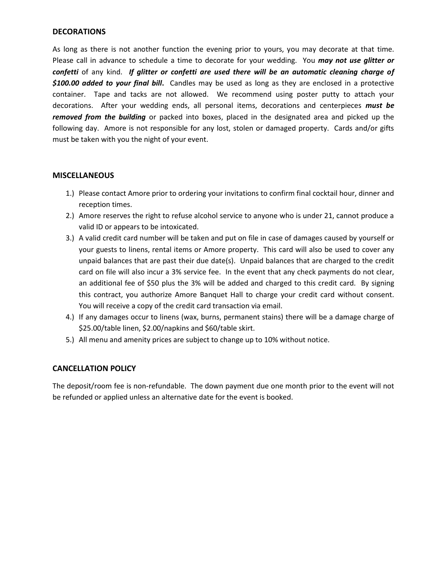## **DECORATIONS**

As long as there is not another function the evening prior to yours, you may decorate at that time. Please call in advance to schedule a time to decorate for your wedding. You *may not use glitter or confetti* of any kind. *If glitter or confetti are used there will be an automatic cleaning charge of \$100.00 added to your final bill***.** Candles may be used as long as they are enclosed in a protective container. Tape and tacks are not allowed. We recommend using poster putty to attach your decorations. After your wedding ends, all personal items, decorations and centerpieces *must be removed from the building* or packed into boxes, placed in the designated area and picked up the following day. Amore is not responsible for any lost, stolen or damaged property. Cards and/or gifts must be taken with you the night of your event.

## **MISCELLANEOUS**

- 1.) Please contact Amore prior to ordering your invitations to confirm final cocktail hour, dinner and reception times.
- 2.) Amore reserves the right to refuse alcohol service to anyone who is under 21, cannot produce a valid ID or appears to be intoxicated.
- 3.) A valid credit card number will be taken and put on file in case of damages caused by yourself or your guests to linens, rental items or Amore property. This card will also be used to cover any unpaid balances that are past their due date(s). Unpaid balances that are charged to the credit card on file will also incur a 3% service fee. In the event that any check payments do not clear, an additional fee of \$50 plus the 3% will be added and charged to this credit card. By signing this contract, you authorize Amore Banquet Hall to charge your credit card without consent. You will receive a copy of the credit card transaction via email.
- 4.) If any damages occur to linens (wax, burns, permanent stains) there will be a damage charge of \$25.00/table linen, \$2.00/napkins and \$60/table skirt.
- 5.) All menu and amenity prices are subject to change up to 10% without notice.

## **CANCELLATION POLICY**

The deposit/room fee is non-refundable. The down payment due one month prior to the event will not be refunded or applied unless an alternative date for the event is booked.